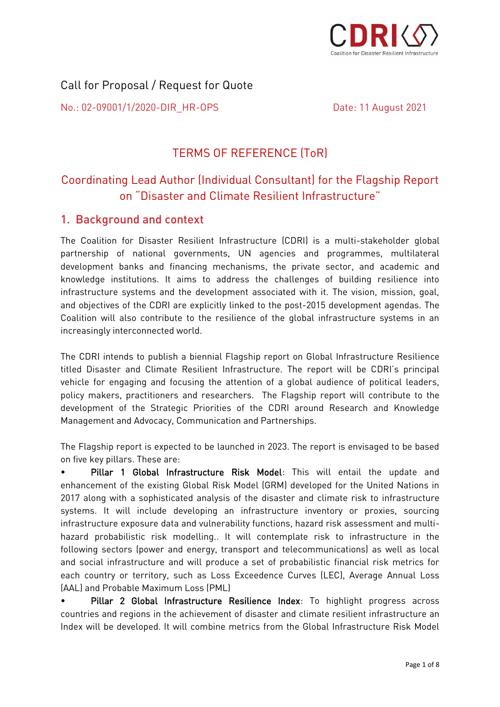

# Call for Proposal / Request for Quote

No.: 02-09001/1/2020-DIR HR-OPS No.: 02-09001/1/2020-DIR\_HR-OPS Date: 11 August 2021

Date: 11 August 2021

## **TERMS OF REFERENCE (ToR)** TERMS OF REFERENCE (ToR)

# Coordinating Lead Author (Individual Consultant) for the Flagship Report on "Disaster and Climate Resilient Infrastructure"

# 1. Background and context

The Coalition for Disaster Resilient Infrastructure (CDRI) is a multi-stakeholder global development banks and financing mechanisms, the private sector, and academic and knowledge institutions. It aims to address the challenges of building resilience into infrastructure systems and the development associated with it. The vision, mission, goal, and objectives of the CDRI are explicitly linked to the post-2015 development agendas. The Coalition will also contribute to the resilience of the global infrastructure systems in an increasingly interconnected world. increasingly interconnected world.

The CDRI intends to publish a biennial Flagship report on Global Infrastructure Resilience vehicle for engaging and focusing the attention of a global audience of political leaders, policy makers, practitioners and researchers. The Flagship report will contribute to the development of the Strategic Priorities of the CDRI around Research and Knowledge development of the Strategic Priorities of the Strategic Priorities of the Communication and Restaurance  $\mathcal{S}$ 

The Flagship report is expected to be launched in 2023. The report is envisaged to be based

Pillar 1 Global Infrastructure Risk Model: This will entail the update and enhancement of the existing Global Risk Model (GRM) developed for the United Nations in 2017 along with a sophisticated analysis of the disaster and climate risk to infrastructure systems. It will include developing an infrastructure inventory or proxies, sourcing infrastructure exposure data and vulnerability functions, hazard risk assessment and multihazard probabilistic risk modelling.. It will contemplate risk to infrastructure in the following sectors (power and energy, transport and telecommunications) as well as local and social infrastructure and will produce a set of probabilistic financial risk metrics for each country or territory, such as Loss Exceedence Curves (LEC), Average Annual Loss (AAL) and Probable Maximum Loss (PML)

Pillar 2 Global Infrastructure Resilience Index: To highlight progress across countries and regions in the achievement of disaster and climate resilient infrastructure an countries and regions in the action of the achievement of disaster and climate resident infrastructure and climate  $\sigma$ Index will be developed. It will combine metrics from the Global Infrastructure Risk Model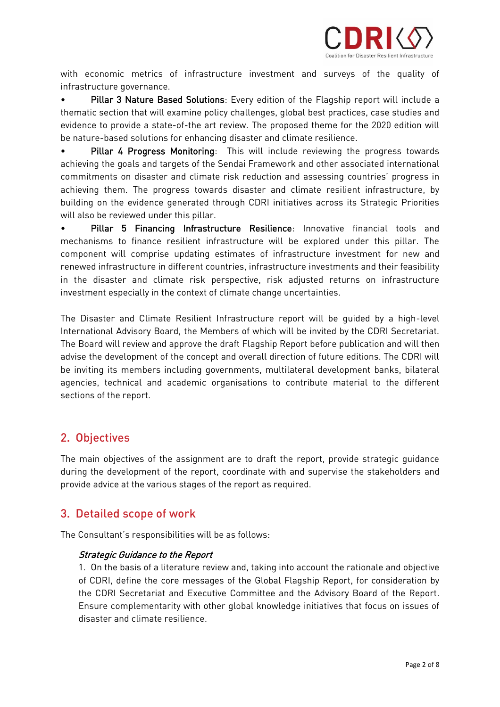

with economic metrics of infrastructure investment and surveys of the quality of infrastructure governance.

• Pillar 3 Nature Based Solutions: Every edition of the Flagship report will include a thematic section that will examine policy challenges, global best practices, case studies and evidence to provide a state-of-the art review. The proposed theme for the 2020 edition will be nature-based solutions for enhancing disaster and climate resilience.

Pillar 4 Progress Monitoring: This will include reviewing the progress towards achieving the goals and targets of the Sendai Framework and other associated international commitments on disaster and climate risk reduction and assessing countries' progress in achieving them. The progress towards disaster and climate resilient infrastructure, by building on the evidence generated through CDRI initiatives across its Strategic Priorities will also be reviewed under this pillar.

Pillar 5 Financing Infrastructure Resilience: Innovative financial tools and mechanisms to finance resilient infrastructure will be explored under this pillar. The component will comprise updating estimates of infrastructure investment for new and renewed infrastructure in different countries, infrastructure investments and their feasibility in the disaster and climate risk perspective, risk adjusted returns on infrastructure investment especially in the context of climate change uncertainties. investment especially in the context of climate change uncertainties.

The Disaster and Climate Resilient Infrastructure report will be guided by a high-level International Advisory Board, the Members of which will be invited by the CDRI Secretariat. The Board will review and approve the draft Flagship Report before publication and will then advise the development of the concept and overall direction of future editions. The CDRI will be inviting its members including governments, multilateral development banks, bilateral agencies, technical and academic organisations to contribute material to the different sections of the report. sections of the report.

# 2. Objectives

The main objectives of the assignment are to draft the report, provide strategic guidance<br>during the development of the report, coordinate with and supervise the stakeholders and provide advice at the various stages of the report as required. provide advice at the various stages of the report as required.

# 3. Detailed scope of work

The Consultant's responsibilities will be as follows:

### Strategic Guidance to the Report

1. On the basis of a literature review and, taking into account the rationale and objective<br>of CDRI, define the core messages of the Global Flagship Report, for consideration by the CDRI Secretariat and Executive Committee and the Advisory Board of the Report. Ensure complementarity with other global knowledge initiatives that focus on issues of disaster and climate resilience.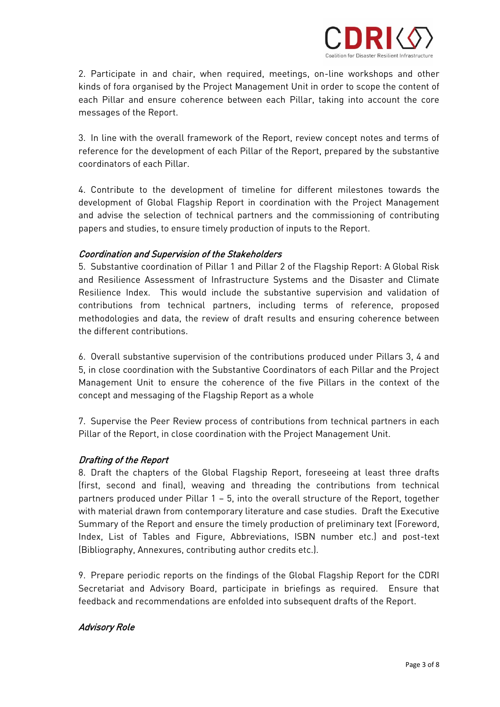

2. Participate in and chair, when required, meetings, on-line workshops and other<br>kinds of fora organised by the Project Management Unit in order to scope the content of each Pillar and ensure coherence between each Pillar, taking into account the core messages of the Report. messages of the Report.

3. In line with the overall framework of the Report, review concept notes and terms of coordinators of each Pillar.

4. Contribute to the development of timeline for different milestones towards the development of Global Flagship Report in coordination with the Project Management and advise the selection of technical partners and the commissioning of contributing papers and studies, to ensure timely production of inputs to the Report. papers and studies, to ensure timely production of inputs to the Report.

### Coordination and Supervision of the Stakeholders

5. Substantive coordination of Pillar 1 and Pillar 2 of the Flagship Report: A Global Risk Resilience Index. This would include the substantive supervision and validation of contributions from technical partners, including terms of reference, proposed methodologies and data, the review of draft results and ensuring coherence between the different contributions.

6. Overall substantive supervision of the contributions produced under Pillars 3, 4 and Management Unit to ensure the coherence of the five Pillars in the context of the concept and messaging of the Flagship Report as a whole concept and messaging of the Flagship Report as a whole studies of the Flagship Report as a whole studies of the Flagship Report as a whole studies of the Flagship Report as a whole studies of the Flagship Report as a whol

review process of the Penert in elecs coordination with the Project Management Unit Pillar of the Report, in close coordination with the Project Management Unit.

### Drafting of the Report

8. Draft the chapters of the Global Flagship Report, foreseeing at least three drafts<br>(first, second and final), weaving and threading the contributions from technical partners produced under Pillar  $1 - 5$ , into the overall structure of the Report, together with material drawn from contemporary literature and case studies. Draft the Executive Summary of the Report and ensure the timely production of preliminary text (Foreword, Index, List of Tables and Figure, Abbreviations, ISBN number etc.) and post-text (Bibliography, Annexures, contributing author credits etc.).  $\mathcal{B}$  and  $\mathcal{B}$  are discussed and  $\mathcal{B}$  and  $\mathcal{B}$  are discussed author contributing etc.

9. Prepare periodic reports on the findings of the Global Flagship Report for the CDRI<br>Secretariat and Advisory Board, participate in briefings as required. Ensure that  $\begin{array}{c} \text{S} \ \text{S} \ \text{S} \ \text{S} \ \text{S} \ \text{S} \ \text{S} \ \text{S} \ \text{S} \ \text{S} \ \text{S} \ \text{S} \ \text{S} \ \text{S} \ \text{S} \ \text{S} \ \text{S} \ \text{S} \ \text{S} \ \text{S} \ \text{S} \ \text{S} \ \text{S} \ \text{S} \ \text{S} \ \text{S} \ \text{S} \ \text{S} \ \text{S} \ \text{S} \ \text{S} \ \text{S} \ \text{S} \ \text{S} \ \text{S} \ \text{$ feedback and recommendations are enfolded into subsequent drafts of the Report.

### Advisory Role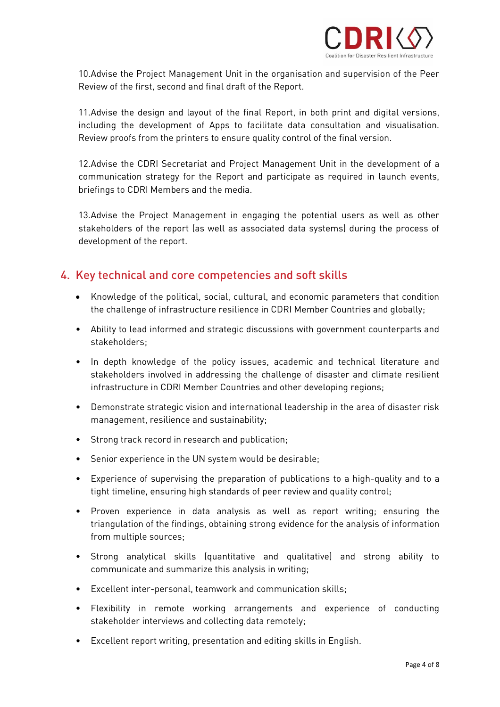

10. Advise the Project Management Unit in the organisation and supervision of the Peer<br>Review of the first, second and final draft of the Report. Review of the first, second and final draft of the Report.

11. Advise the design and layout of the final Report, in both print and digital versions, including the development of Apps to facilitate data consultation and visualisation. Review proofs from the printers to ensure quality control of the final version. Review proofs from the printers to ensure quality control of the final version.

12. Advise the CDRI Secretariat and Project Management Unit in the development of a communication strategy for the Report and participate as required in launch events, briefings to CDRI Members and the media.  $\mathbf{b}$ 

13.Advise the Project Management in engaging the potential users as well as other<br>stakeholders of the report (as well as associated data systems) during the process of development of the report. development of the report.

# 4. Key technical and core competencies and soft skills

- Knowledge of the political, social, cultural, and economic parameters that condition  $\frac{1}{\sqrt{2}}$  infrastructure resilience in  $\frac{1}{\sqrt{2}}$  in  $\frac{1}{\sqrt{2}}$
- Ability to lead informed and strategic discussions with government counterparts and stakeholders;
- In depth knowledge of the policy issues, academic and technical literature and stakeholders in CDDI Momber Countries and other developing regions. infrastructure in CDRI Member Countries and other developing regions;
- Demonstrate strategic vision and international leadership in the area of disaster risk  $\mathcal{L}$  management, resilience and sustainability;
- $\mathcal{S}$  strong track record in record in research and publication;  $\mathcal{S}$
- $\bullet$  $\mathcal{L}^{\text{max}}$  in the UN system would be desirable; the UN system would be desirable; the UN system would be desirable; the UN system would be desirable; the UN system would be desirable; the UN system would be desirable;
- Experience of supervising the preparation of publications to a high-quality and to a tight timeline, ensuring high standards of peer review and quality control;
- Proven experience in data analysis as well as report writing; ensuring the from multiple sources; from multiple sources; the sources; the sources; the sources; the sources; the sources; the sources; the sources; the sources; the sources; the sources; the sources; the sources; the sources; the sources; the sources; the
- Strong analytical skills (quantitative and qualitative) and strong ability to communicate and summarize this analysis in writing; in writing; in writing; in writing; in writing; in writing; in writing; in writing; in writing; in writing; in writing; in writing; in writing; in writing; in writing; in
- Excellent inter-personal, teamwork and communication skills;
- Flexibility in remote working arrangements and experience of conducting stakeholder interviews and collecting data remotely;
- $\mathcal{L}$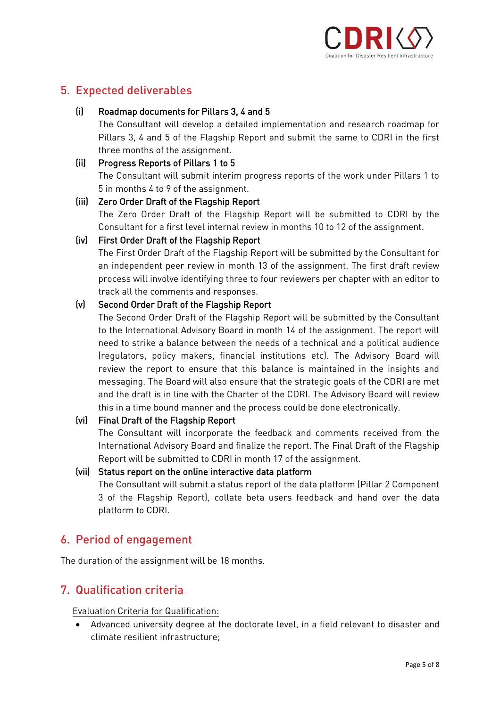

# 5. Expected deliverables

### $(ii)$

Roadmap documents for Pillars 3, 4 and 5<br>The Consultant will develop a detailed implementation and research roadmap for Pillars 3, 4 and 5 of the Flagship Report and submit the same to CDRI in the first three months of the assignment.

#### $(ii)$ Progress Reports of Pillars 1 to 5 The Consultant will submit interim progress reports of the work under Pillars 1 to

### 5 in months 4 to 9 of the assignment. (iii) Zero Order Draft of the Flagship Report

The Zero Order Draft of the Flagship Report will be submitted to CDRI by the Consultant for a first level internal review in months 10 to 12 of the assignment.

### (iv) First Order Draft of the Flagship Report

The First Order Draft of the Flagship Report will be submitted by the Consultant for an independent peer review in month 13 of the assignment. The first draft review process will involve identifying three to four reviewers per chapter with an editor to track all the comments and responses.

### (v) Second Order Draft of the Flagship Report

The Second Order Draft of the Flagship Report will be submitted by the Consultant to the International Advisory Board in month 14 of the assignment. The report will need to strike a balance between the needs of a technical and a political audience (regulators, policy makers, financial institutions etc). The Advisory Board will review the report to ensure that this balance is maintained in the insights and messaging. The Board will also ensure that the strategic goals of the CDRI are met and the draft is in line with the Charter of the CDRI. The Advisory Board will review this in a time bound manner and the process could be done electronically.

### (vi) Final Draft of the Flagship Report

The Consultant will incorporate the feedback and comments received from the International Advisory Board and finalize the report. The Final Draft of the Flagship Report will be submitted to CDRI in month 17 of the assignment.

### (vii) Status report on the online interactive data platform

The Consultant will submit a status report of the data platform (Pillar 2 Component 3 of the Flagship Report), collate beta users feedback and hand over the data platform to CDRI. platform to CDRI.

# 6. Period of engagement

The duration of the assignment will be 18 months.

# 7. Qualification criteria

• Advanced university degree at the doctorate level, in a field relevant to disaster and<br>elimate recilient infrectructure. climate resilient infrastructure; and infrastructure; and infrastructure; and infrastructure; and infrastructure; and infrastructure; and infrastructure; and infrastructure; and infrastructure; and infrastructure; and infr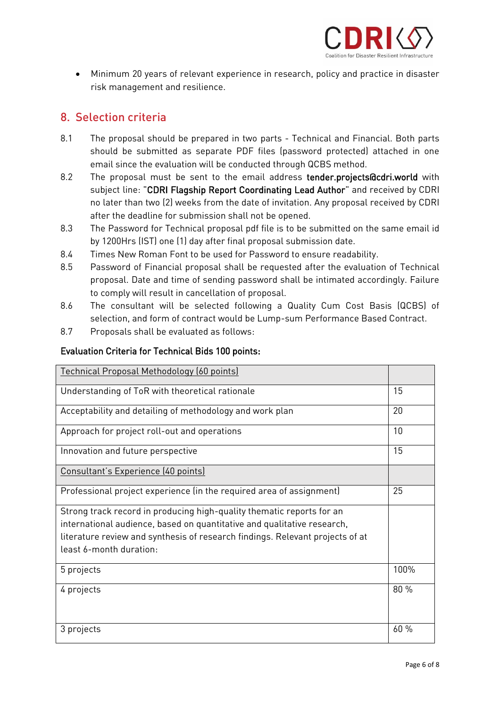

• Minimum 20 years of relevant experience in research, policy and practice in disaster risk management and resilience.

# 8. Selection criteria

- $8.1$ The proposal should be prepared in two parts - Technical and Financial. Both parts should be submitted as separate PDF files (password protected) attached in one email since the evaluation will be conducted through QCBS method.
- 8.2 The proposal must be sent to the email address tender.projects@cdri.world with subject line: "CDRI Flagship Report Coordinating Lead Author" and received by CDRI no later than two (2) weeks from the date of invitation. Any proposal received by CDRI after the deadline for submission shall not be opened.
- 8.3 The Password for Technical proposal pdf file is to be submitted on the same email id by 1200Hrs (IST) one (1) day after final proposal submission date.
- $8.4$ Times New Roman Font to be used for Password to ensure readability.
- 8.5 Password of Financial proposal shall be requested after the evaluation of Technical proposal. Date and time of sending password shall be intimated accordingly. Failure to comply will result in cancellation of proposal.
- 8.6 The consultant will be selected following a Quality Cum Cost Basis (QCBS) of selection, and form of contract would be Lump-sum Performance Based Contract.
- 8.7 Proposals shall be evaluated as follows: 8.7 Proposals shall be evaluated as follows:

### Evaluation Criteria for Technical Bids 100 points:

| Technical Proposal Methodology (60 points)                                                                                                                                                                                                                   |      |
|--------------------------------------------------------------------------------------------------------------------------------------------------------------------------------------------------------------------------------------------------------------|------|
| Understanding of ToR with theoretical rationale                                                                                                                                                                                                              | 15   |
| Acceptability and detailing of methodology and work plan                                                                                                                                                                                                     | 20   |
| Approach for project roll-out and operations                                                                                                                                                                                                                 | 10   |
| Innovation and future perspective                                                                                                                                                                                                                            | 15   |
| Consultant's Experience (40 points)                                                                                                                                                                                                                          |      |
| Professional project experience (in the required area of assignment)                                                                                                                                                                                         | 25   |
| Strong track record in producing high-quality thematic reports for an<br>international audience, based on quantitative and qualitative research,<br>literature review and synthesis of research findings. Relevant projects of at<br>least 6-month duration: |      |
| 5 projects                                                                                                                                                                                                                                                   | 100% |
| 4 projects                                                                                                                                                                                                                                                   | 80 % |
| 3 projects                                                                                                                                                                                                                                                   | 60 % |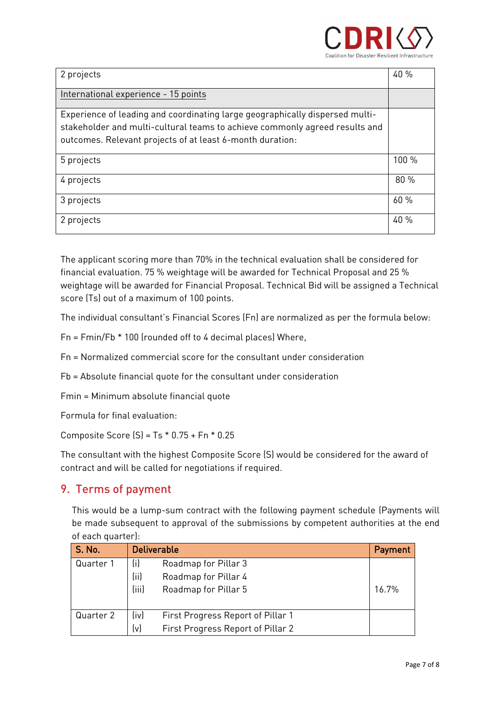

| 2 projects                                                                                                                                                                                                               | 40 %  |
|--------------------------------------------------------------------------------------------------------------------------------------------------------------------------------------------------------------------------|-------|
| International experience - 15 points                                                                                                                                                                                     |       |
| Experience of leading and coordinating large geographically dispersed multi-<br>stakeholder and multi-cultural teams to achieve commonly agreed results and<br>outcomes. Relevant projects of at least 6-month duration: |       |
| 5 projects                                                                                                                                                                                                               | 100 % |
| 4 projects                                                                                                                                                                                                               | 80 %  |
| 3 projects                                                                                                                                                                                                               | 60%   |
| 2 projects                                                                                                                                                                                                               | 40 %  |

The applicant scoring more than 70% in the technical evaluation shall be considered for<br>financial evaluation. 75 % weightage will be awarded for Technical Proposal and 25 % weightage will be awarded for Financial Proposal. Technical Bid will be assigned a Technical  $\frac{1}{2}$  core (Te) out of a maximum of 100 points. score (Ts) out of a maximum of 100 points.

The individual consultant's Financial Scores (Fn) are normalized as per the formula below:

 $F_{\rm eff} = 100$  (rounded of to  $40$  decimal places) Where,  $\mu$ 

 $Fn = Normalized commercial score for the consultant under consideration$ 

 $\mathbf{F}_{\mathbf{p}} = \mathbf{F}_{\mathbf{p}}$  and  $\mathbf{F}_{\mathbf{p}}$  and  $\mathbf{F}_{\mathbf{p}}$  and  $\mathbf{F}_{\mathbf{p}}$  and  $\mathbf{F}_{\mathbf{p}}$  and  $\mathbf{F}_{\mathbf{p}}$ 

Fmin = Minimum absolute financial quote

Formula for final evaluation.

Composite Score (S) = Ts \* 0.75 + Fn \* 0.75 + Fn \* 0.75 + Fn \* 0.25 + Fn \* 0.25 + Fn \* 0.25 + Fn \* 0.25 + Fn \*

 $\frac{1}{2}$  contract and will be called for posatiations if required contract and will be called for negotiations if  $\mathcal{L}$ 

# 9. Terms of payment

 $T$  This work curve a lump-sum contract with sum contract superior step and  $\begin{bmatrix} 1 & 1 & 1 \\ 0 & 0 & 0 \\ 0 & 0 & 0 \\ 0 & 0 & 0 \\ 0 & 0 & 0 \\ 0 & 0 & 0 \\ 0 & 0 & 0 \\ 0 & 0 & 0 \\ 0 & 0 & 0 \\ 0 & 0 & 0 \\ 0 & 0 & 0 \\ 0 & 0 & 0 \\ 0 & 0 & 0 \\ 0 & 0 & 0 & 0 \\ 0 & 0 & 0 & 0 \\ 0 & 0 & 0 & 0 \\ 0 & 0 & 0 & 0 \\ 0 & 0 & 0 & 0 & 0 \\ 0 & 0 & 0 & 0 & 0 \\ 0 & 0 & 0 & 0 & 0 \\ 0 &$ of each quarter):

| <b>S. No.</b> | <b>Deliverable</b>                        |       |  |
|---------------|-------------------------------------------|-------|--|
| Quarter 1     | (i)<br>Roadmap for Pillar 3               |       |  |
|               | (ii)<br>Roadmap for Pillar 4              |       |  |
|               | (iii)<br>Roadmap for Pillar 5             | 16.7% |  |
|               |                                           |       |  |
| Quarter 2     | (iv)<br>First Progress Report of Pillar 1 |       |  |
|               | (v)<br>First Progress Report of Pillar 2  |       |  |